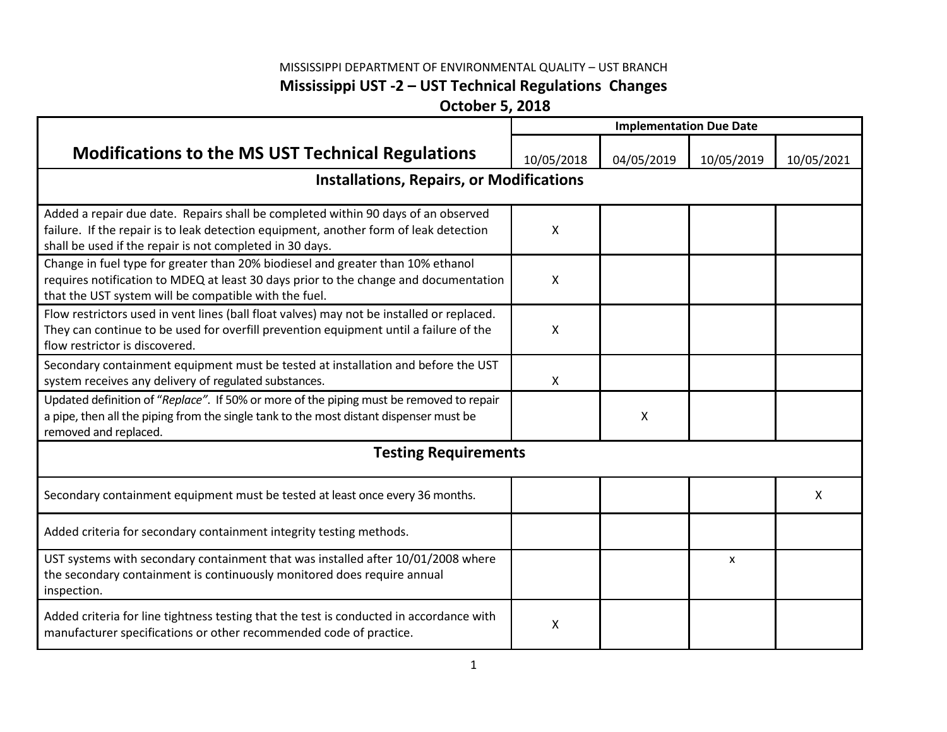## MISSISSIPPI DEPARTMENT OF ENVIRONMENTAL QUALITY – UST BRANCH **Mississippi UST -2 – UST Technical Regulations Changes**

**October 5, 2018**

|                                                                                                                                                                                                                                        | <b>Implementation Due Date</b> |            |            |            |  |  |  |
|----------------------------------------------------------------------------------------------------------------------------------------------------------------------------------------------------------------------------------------|--------------------------------|------------|------------|------------|--|--|--|
| <b>Modifications to the MS UST Technical Regulations</b>                                                                                                                                                                               | 10/05/2018                     | 04/05/2019 | 10/05/2019 | 10/05/2021 |  |  |  |
| <b>Installations, Repairs, or Modifications</b>                                                                                                                                                                                        |                                |            |            |            |  |  |  |
| Added a repair due date. Repairs shall be completed within 90 days of an observed<br>failure. If the repair is to leak detection equipment, another form of leak detection<br>shall be used if the repair is not completed in 30 days. | x                              |            |            |            |  |  |  |
| Change in fuel type for greater than 20% biodiesel and greater than 10% ethanol<br>requires notification to MDEQ at least 30 days prior to the change and documentation<br>that the UST system will be compatible with the fuel.       | X                              |            |            |            |  |  |  |
| Flow restrictors used in vent lines (ball float valves) may not be installed or replaced.<br>They can continue to be used for overfill prevention equipment until a failure of the<br>flow restrictor is discovered                    | x                              |            |            |            |  |  |  |
| Secondary containment equipment must be tested at installation and before the UST<br>system receives any delivery of regulated substances.                                                                                             | X                              |            |            |            |  |  |  |
| Updated definition of "Replace". If 50% or more of the piping must be removed to repair<br>a pipe, then all the piping from the single tank to the most distant dispenser must be<br>removed and replaced.                             |                                | X          |            |            |  |  |  |
| <b>Testing Requirements</b>                                                                                                                                                                                                            |                                |            |            |            |  |  |  |
| Secondary containment equipment must be tested at least once every 36 months.                                                                                                                                                          |                                |            |            | X          |  |  |  |
| Added criteria for secondary containment integrity testing methods.                                                                                                                                                                    |                                |            |            |            |  |  |  |
| UST systems with secondary containment that was installed after 10/01/2008 where<br>the secondary containment is continuously monitored does require annual<br>inspection.                                                             |                                |            | X          |            |  |  |  |
| Added criteria for line tightness testing that the test is conducted in accordance with<br>manufacturer specifications or other recommended code of practice.                                                                          | Χ                              |            |            |            |  |  |  |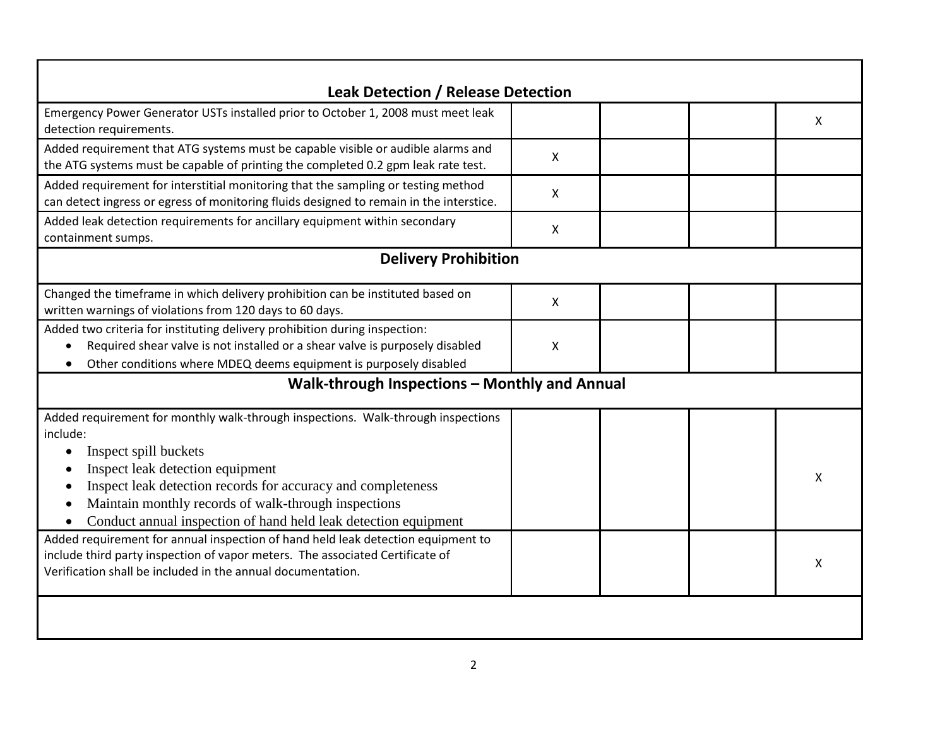| <b>Leak Detection / Release Detection</b>                                                                                                                                                                                                                                                                                                                                                                                                                                                                                                                                                |   |  |  |              |  |  |
|------------------------------------------------------------------------------------------------------------------------------------------------------------------------------------------------------------------------------------------------------------------------------------------------------------------------------------------------------------------------------------------------------------------------------------------------------------------------------------------------------------------------------------------------------------------------------------------|---|--|--|--------------|--|--|
| Emergency Power Generator USTs installed prior to October 1, 2008 must meet leak<br>detection requirements.                                                                                                                                                                                                                                                                                                                                                                                                                                                                              |   |  |  | $\mathsf{X}$ |  |  |
| Added requirement that ATG systems must be capable visible or audible alarms and<br>the ATG systems must be capable of printing the completed 0.2 gpm leak rate test.                                                                                                                                                                                                                                                                                                                                                                                                                    | X |  |  |              |  |  |
| Added requirement for interstitial monitoring that the sampling or testing method<br>can detect ingress or egress of monitoring fluids designed to remain in the interstice.                                                                                                                                                                                                                                                                                                                                                                                                             | X |  |  |              |  |  |
| Added leak detection requirements for ancillary equipment within secondary<br>containment sumps.                                                                                                                                                                                                                                                                                                                                                                                                                                                                                         | X |  |  |              |  |  |
| <b>Delivery Prohibition</b>                                                                                                                                                                                                                                                                                                                                                                                                                                                                                                                                                              |   |  |  |              |  |  |
| Changed the timeframe in which delivery prohibition can be instituted based on<br>written warnings of violations from 120 days to 60 days.                                                                                                                                                                                                                                                                                                                                                                                                                                               | X |  |  |              |  |  |
| Added two criteria for instituting delivery prohibition during inspection:<br>Required shear valve is not installed or a shear valve is purposely disabled<br>Other conditions where MDEQ deems equipment is purposely disabled                                                                                                                                                                                                                                                                                                                                                          | X |  |  |              |  |  |
| Walk-through Inspections - Monthly and Annual                                                                                                                                                                                                                                                                                                                                                                                                                                                                                                                                            |   |  |  |              |  |  |
| Added requirement for monthly walk-through inspections. Walk-through inspections<br>include:<br>Inspect spill buckets<br>Inspect leak detection equipment<br>Inspect leak detection records for accuracy and completeness<br>Maintain monthly records of walk-through inspections<br>Conduct annual inspection of hand held leak detection equipment<br>Added requirement for annual inspection of hand held leak detection equipment to<br>include third party inspection of vapor meters. The associated Certificate of<br>Verification shall be included in the annual documentation. |   |  |  | X<br>X       |  |  |
|                                                                                                                                                                                                                                                                                                                                                                                                                                                                                                                                                                                          |   |  |  |              |  |  |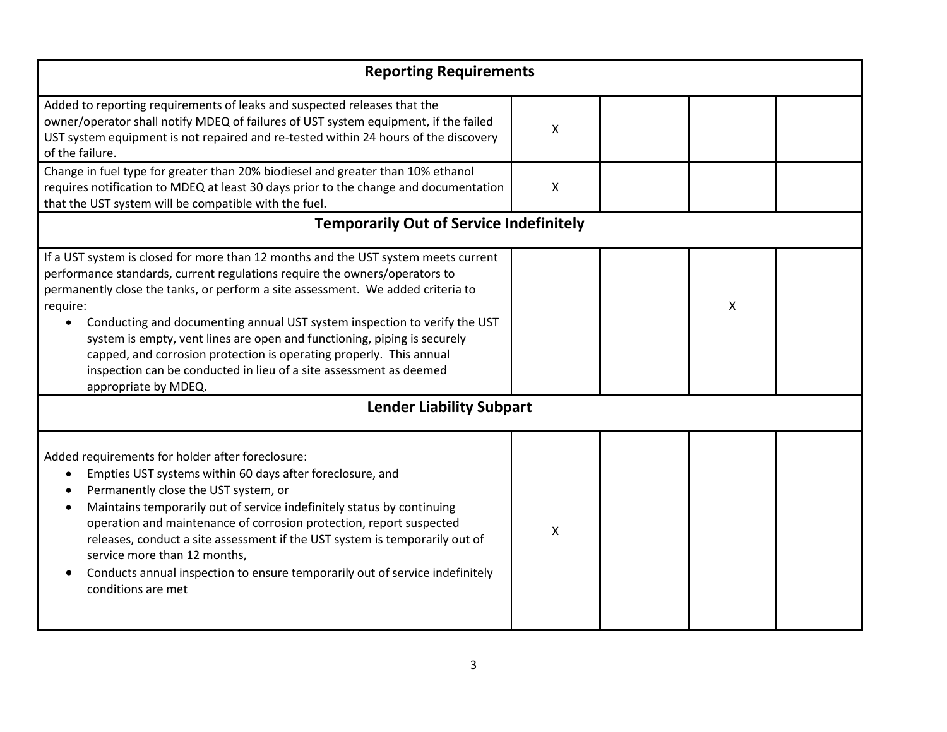| <b>Reporting Requirements</b>                                                                                                                                                                                                                                                                                                                                                                                                                                                                                                                                                                              |   |  |   |  |  |
|------------------------------------------------------------------------------------------------------------------------------------------------------------------------------------------------------------------------------------------------------------------------------------------------------------------------------------------------------------------------------------------------------------------------------------------------------------------------------------------------------------------------------------------------------------------------------------------------------------|---|--|---|--|--|
| Added to reporting requirements of leaks and suspected releases that the<br>owner/operator shall notify MDEQ of failures of UST system equipment, if the failed<br>UST system equipment is not repaired and re-tested within 24 hours of the discovery<br>of the failure.                                                                                                                                                                                                                                                                                                                                  | Χ |  |   |  |  |
| Change in fuel type for greater than 20% biodiesel and greater than 10% ethanol<br>requires notification to MDEQ at least 30 days prior to the change and documentation<br>that the UST system will be compatible with the fuel.                                                                                                                                                                                                                                                                                                                                                                           | X |  |   |  |  |
| <b>Temporarily Out of Service Indefinitely</b>                                                                                                                                                                                                                                                                                                                                                                                                                                                                                                                                                             |   |  |   |  |  |
| If a UST system is closed for more than 12 months and the UST system meets current<br>performance standards, current regulations require the owners/operators to<br>permanently close the tanks, or perform a site assessment. We added criteria to<br>require:<br>Conducting and documenting annual UST system inspection to verify the UST<br>$\bullet$<br>system is empty, vent lines are open and functioning, piping is securely<br>capped, and corrosion protection is operating properly. This annual<br>inspection can be conducted in lieu of a site assessment as deemed<br>appropriate by MDEQ. |   |  | X |  |  |
| <b>Lender Liability Subpart</b>                                                                                                                                                                                                                                                                                                                                                                                                                                                                                                                                                                            |   |  |   |  |  |
| Added requirements for holder after foreclosure:<br>Empties UST systems within 60 days after foreclosure, and<br>Permanently close the UST system, or<br>Maintains temporarily out of service indefinitely status by continuing<br>operation and maintenance of corrosion protection, report suspected<br>releases, conduct a site assessment if the UST system is temporarily out of<br>service more than 12 months,<br>Conducts annual inspection to ensure temporarily out of service indefinitely<br>conditions are met                                                                                | Χ |  |   |  |  |